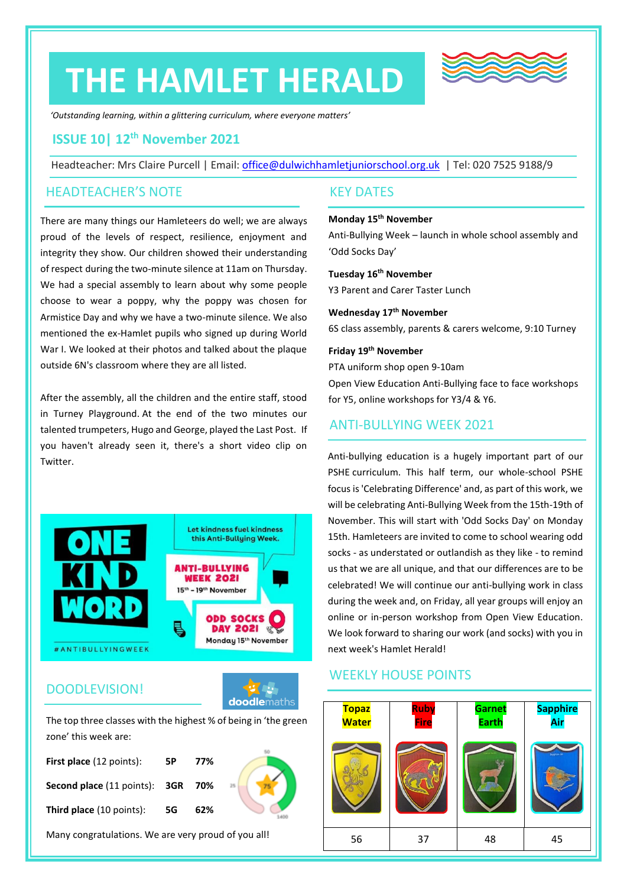# **THE HAMLET HERALD**



*'Outstanding learning, within a glittering curriculum, where everyone matters'*

### **ISSUE 10| 12th November 2021**

Headteacher: Mrs Claire Purcell | Email: [office@dulwichhamletjuniorschool.org.uk](mailto:office@dulwichhamletjuniorschool.org.uk) | Tel: 020 7525 9188/9

#### HEADTEACHER'S NOTE

There are many things our Hamleteers do well; we are always proud of the levels of respect, resilience, enjoyment and integrity they show. Our children showed their understanding of respect during the two-minute silence at 11am on Thursday. We had a special assembly to learn about why some people choose to wear a poppy, why the poppy was chosen for Armistice Day and why we have a two-minute silence. We also mentioned the ex-Hamlet pupils who signed up during World War I. We looked at their photos and talked about the plaque outside 6N's classroom where they are all listed.

After the assembly, all the children and the entire staff, stood in Turney Playground. At the end of the two minutes our talented trumpeters, Hugo and George, played the Last Post. If you haven't already seen it, there's a short video clip on Twitter.



#### DOODLEVISION!



The top three classes with the highest % of being in 'the green zone' this week are:

| 5Р | 77% |                                   |
|----|-----|-----------------------------------|
|    |     |                                   |
| 5G | 62% |                                   |
|    |     | Second place (11 points): 3GR 70% |

Many congratulations. We are very proud of you all!

#### KEY DATES

#### **Monday 15th November**

Anti-Bullying Week – launch in whole school assembly and 'Odd Socks Day'

#### **Tuesday 16th November**

Y3 Parent and Carer Taster Lunch

#### **Wednesday 17th November**

6S class assembly, parents & carers welcome, 9:10 Turney

#### **Friday 19 th November**

PTA uniform shop open 9-10am

Open View Education Anti-Bullying face to face workshops for Y5, online workshops for Y3/4 & Y6.

#### ANTI-BULLYING WEEK 2021

Anti-bullying education is a hugely important part of our PSHE curriculum. This half term, our whole-school PSHE focus is 'Celebrating Difference' and, as part of this work, we will be celebrating Anti-Bullying Week from the 15th-19th of November. This will start with 'Odd Socks Day' on Monday 15th. Hamleteers are invited to come to school wearing odd socks - as understated or outlandish as they like - to remind us that we are all unique, and that our differences are to be celebrated! We will continue our anti-bullying work in class during the week and, on Friday, all year groups will enjoy an online or in-person workshop from Open View Education. We look forward to sharing our work (and socks) with you in next week's Hamlet Herald!

#### WEEKLY HOUSE POINTS